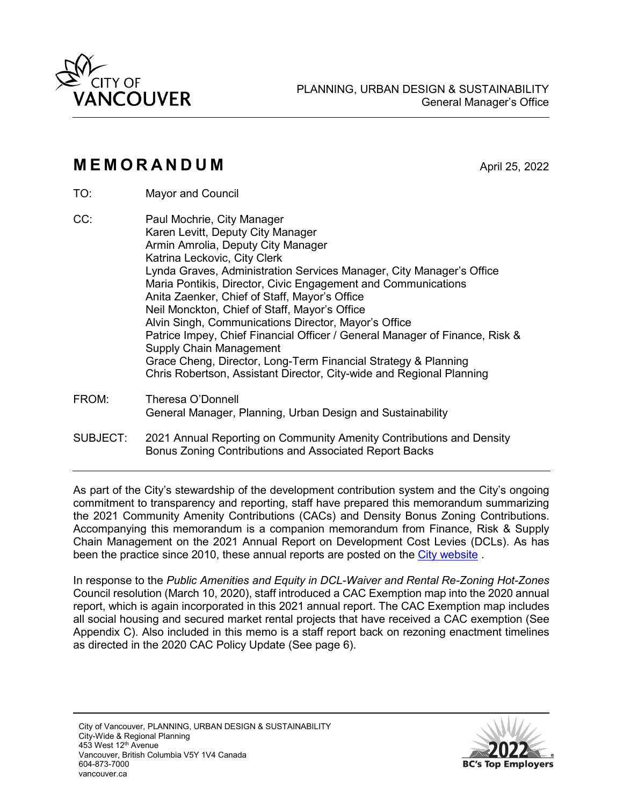

# **MEMORANDUM** April 25, 2022

- TO: Mayor and Council
- CC: Paul Mochrie, City Manager Karen Levitt, Deputy City Manager Armin Amrolia, Deputy City Manager Katrina Leckovic, City Clerk Lynda Graves, Administration Services Manager, City Manager's Office Maria Pontikis, Director, Civic Engagement and Communications Anita Zaenker, Chief of Staff, Mayor's Office Neil Monckton, Chief of Staff, Mayor's Office Alvin Singh, Communications Director, Mayor's Office Patrice Impey, Chief Financial Officer / General Manager of Finance, Risk & Supply Chain Management Grace Cheng, Director, Long-Term Financial Strategy & Planning Chris Robertson, Assistant Director, City-wide and Regional Planning
- FROM: Theresa O'Donnell General Manager, Planning, Urban Design and Sustainability
- SUBJECT: 2021 Annual Reporting on Community Amenity Contributions and Density Bonus Zoning Contributions and Associated Report Backs

As part of the City's stewardship of the development contribution system and the City's ongoing commitment to transparency and reporting, staff have prepared this memorandum summarizing the 2021 Community Amenity Contributions (CACs) and Density Bonus Zoning Contributions. Accompanying this memorandum is a companion memorandum from Finance, Risk & Supply Chain Management on the 2021 Annual Report on Development Cost Levies (DCLs). As has been the practice since 2010, these annual reports are posted on the [City website](https://vancouver.ca/home-property-development/how-development-funds-communities.aspx) .

In response to the *Public Amenities and Equity in DCL-Waiver and Rental Re-Zoning Hot-Zones* Council resolution (March 10, 2020), staff introduced a CAC Exemption map into the 2020 annual report, which is again incorporated in this 2021 annual report. The CAC Exemption map includes all social housing and secured market rental projects that have received a CAC exemption (See Appendix C). Also included in this memo is a staff report back on rezoning enactment timelines as directed in the 2020 CAC Policy Update (See page 6).

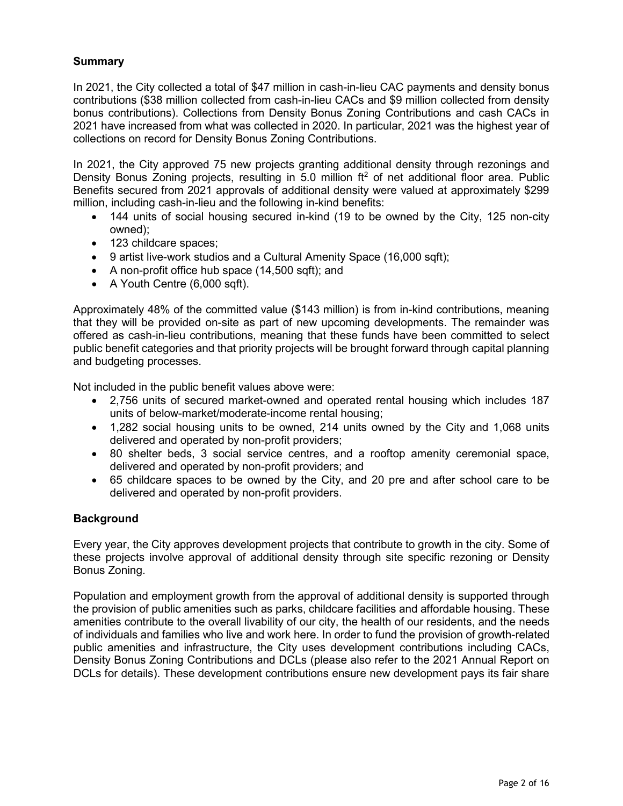# **Summary**

In 2021, the City collected a total of \$47 million in cash-in-lieu CAC payments and density bonus contributions (\$38 million collected from cash-in-lieu CACs and \$9 million collected from density bonus contributions). Collections from Density Bonus Zoning Contributions and cash CACs in 2021 have increased from what was collected in 2020. In particular, 2021 was the highest year of collections on record for Density Bonus Zoning Contributions.

In 2021, the City approved 75 new projects granting additional density through rezonings and Density Bonus Zoning projects, resulting in 5.0 million  $ft^2$  of net additional floor area. Public Benefits secured from 2021 approvals of additional density were valued at approximately \$299 million, including cash-in-lieu and the following in-kind benefits:

- 144 units of social housing secured in-kind (19 to be owned by the City, 125 non-city owned);
- 123 childcare spaces;
- 9 artist live-work studios and a Cultural Amenity Space (16,000 sqft);
- A non-profit office hub space (14,500 sqft); and
- A Youth Centre (6,000 sqft).

Approximately 48% of the committed value (\$143 million) is from in-kind contributions, meaning that they will be provided on-site as part of new upcoming developments. The remainder was offered as cash-in-lieu contributions, meaning that these funds have been committed to select public benefit categories and that priority projects will be brought forward through capital planning and budgeting processes.

Not included in the public benefit values above were:

- 2,756 units of secured market-owned and operated rental housing which includes 187 units of below-market/moderate-income rental housing;
- 1,282 social housing units to be owned, 214 units owned by the City and 1,068 units delivered and operated by non-profit providers;
- 80 shelter beds, 3 social service centres, and a rooftop amenity ceremonial space, delivered and operated by non-profit providers; and
- 65 childcare spaces to be owned by the City, and 20 pre and after school care to be delivered and operated by non-profit providers.

#### **Background**

Every year, the City approves development projects that contribute to growth in the city. Some of these projects involve approval of additional density through site specific rezoning or Density Bonus Zoning.

Population and employment growth from the approval of additional density is supported through the provision of public amenities such as parks, childcare facilities and affordable housing. These amenities contribute to the overall livability of our city, the health of our residents, and the needs of individuals and families who live and work here. In order to fund the provision of growth-related public amenities and infrastructure, the City uses development contributions including CACs, Density Bonus Zoning Contributions and DCLs (please also refer to the 2021 Annual Report on DCLs for details). These development contributions ensure new development pays its fair share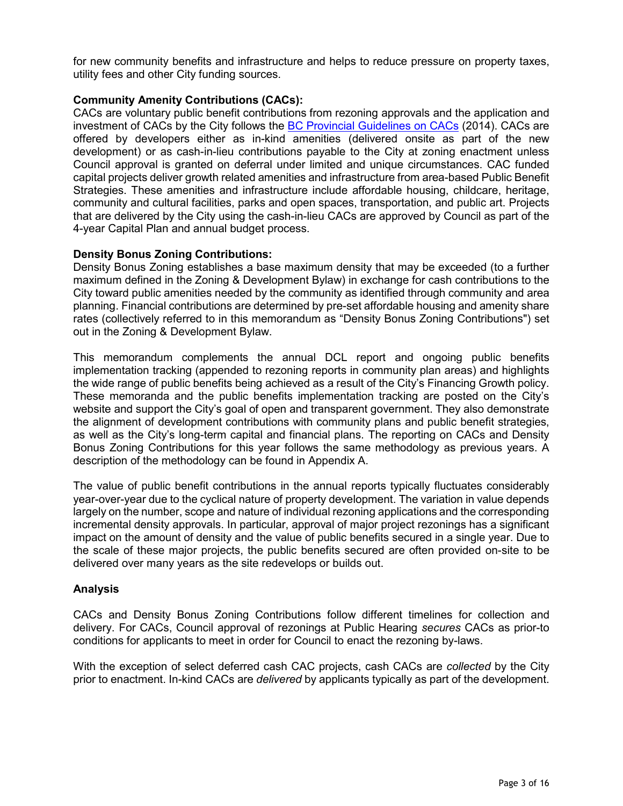for new community benefits and infrastructure and helps to reduce pressure on property taxes, utility fees and other City funding sources.

#### **Community Amenity Contributions (CACs):**

CACs are voluntary public benefit contributions from rezoning approvals and the application and investment of CACs by the City follows the [BC Provincial Guidelines on CACs](https://www2.gov.bc.ca/assets/gov/british-columbians-our-governments/local-governments/planning-land-use/community_amenity_contributions_guide.pdf) (2014). CACs are offered by developers either as in-kind amenities (delivered onsite as part of the new development) or as cash-in-lieu contributions payable to the City at zoning enactment unless Council approval is granted on deferral under limited and unique circumstances. CAC funded capital projects deliver growth related amenities and infrastructure from area-based Public Benefit Strategies. These amenities and infrastructure include affordable housing, childcare, heritage, community and cultural facilities, parks and open spaces, transportation, and public art. Projects that are delivered by the City using the cash-in-lieu CACs are approved by Council as part of the 4-year Capital Plan and annual budget process.

#### **Density Bonus Zoning Contributions:**

Density Bonus Zoning establishes a base maximum density that may be exceeded (to a further maximum defined in the Zoning & Development Bylaw) in exchange for cash contributions to the City toward public amenities needed by the community as identified through community and area planning. Financial contributions are determined by pre-set affordable housing and amenity share rates (collectively referred to in this memorandum as "Density Bonus Zoning Contributions") set out in the Zoning & Development Bylaw.

This memorandum complements the annual DCL report and ongoing public benefits implementation tracking (appended to rezoning reports in community plan areas) and highlights the wide range of public benefits being achieved as a result of the City's Financing Growth policy. These memoranda and the public benefits implementation tracking are posted on the City's website and support the City's goal of open and transparent government. They also demonstrate the alignment of development contributions with community plans and public benefit strategies, as well as the City's long-term capital and financial plans. The reporting on CACs and Density Bonus Zoning Contributions for this year follows the same methodology as previous years. A description of the methodology can be found in Appendix A.

The value of public benefit contributions in the annual reports typically fluctuates considerably year-over-year due to the cyclical nature of property development. The variation in value depends largely on the number, scope and nature of individual rezoning applications and the corresponding incremental density approvals. In particular, approval of major project rezonings has a significant impact on the amount of density and the value of public benefits secured in a single year. Due to the scale of these major projects, the public benefits secured are often provided on-site to be delivered over many years as the site redevelops or builds out.

#### **Analysis**

CACs and Density Bonus Zoning Contributions follow different timelines for collection and delivery. For CACs, Council approval of rezonings at Public Hearing *secures* CACs as prior-to conditions for applicants to meet in order for Council to enact the rezoning by-laws.

With the exception of select deferred cash CAC projects, cash CACs are *collected* by the City prior to enactment. In-kind CACs are *delivered* by applicants typically as part of the development.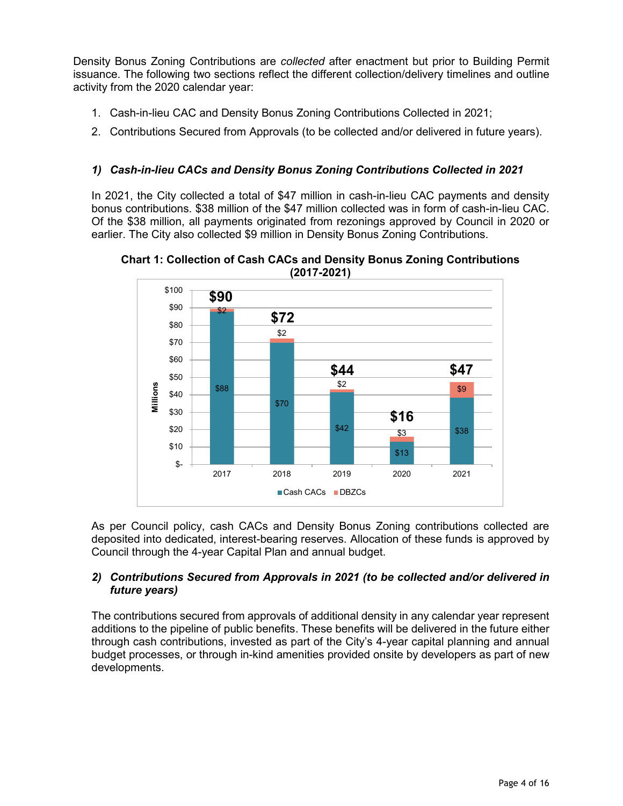Density Bonus Zoning Contributions are *collected* after enactment but prior to Building Permit issuance. The following two sections reflect the different collection/delivery timelines and outline activity from the 2020 calendar year:

- 1. Cash-in-lieu CAC and Density Bonus Zoning Contributions Collected in 2021;
- 2. Contributions Secured from Approvals (to be collected and/or delivered in future years).

# *1) Cash-in-lieu CACs and Density Bonus Zoning Contributions Collected in 2021*

In 2021, the City collected a total of \$47 million in cash-in-lieu CAC payments and density bonus contributions. \$38 million of the \$47 million collected was in form of cash-in-lieu CAC. Of the \$38 million, all payments originated from rezonings approved by Council in 2020 or earlier. The City also collected \$9 million in Density Bonus Zoning Contributions.



**Chart 1: Collection of Cash CACs and Density Bonus Zoning Contributions (2017-2021)** 

As per Council policy, cash CACs and Density Bonus Zoning contributions collected are deposited into dedicated, interest-bearing reserves. Allocation of these funds is approved by Council through the 4-year Capital Plan and annual budget.

#### *2) Contributions Secured from Approvals in 2021 (to be collected and/or delivered in future years)*

The contributions secured from approvals of additional density in any calendar year represent additions to the pipeline of public benefits. These benefits will be delivered in the future either through cash contributions, invested as part of the City's 4-year capital planning and annual budget processes, or through in-kind amenities provided onsite by developers as part of new developments.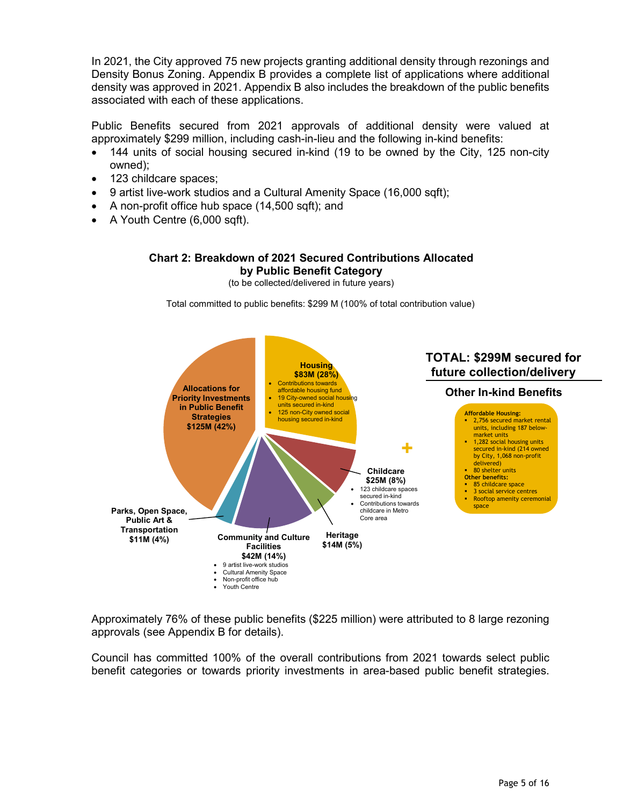In 2021, the City approved 75 new projects granting additional density through rezonings and Density Bonus Zoning. Appendix B provides a complete list of applications where additional density was approved in 2021. Appendix B also includes the breakdown of the public benefits associated with each of these applications.

Public Benefits secured from 2021 approvals of additional density were valued at approximately \$299 million, including cash-in-lieu and the following in-kind benefits:

- 144 units of social housing secured in-kind (19 to be owned by the City, 125 non-city owned);
- 123 childcare spaces;
- 9 artist live-work studios and a Cultural Amenity Space (16,000 sqft);
- A non-profit office hub space (14,500 sqft); and
- A Youth Centre (6,000 sqft).

#### **Chart 2: Breakdown of 2021 Secured Contributions Allocated by Public Benefit Category**

(to be collected/delivered in future years)

Total committed to public benefits: \$299 M (100% of total contribution value)



Approximately 76% of these public benefits (\$225 million) were attributed to 8 large rezoning approvals (see Appendix B for details).

Council has committed 100% of the overall contributions from 2021 towards select public benefit categories or towards priority investments in area-based public benefit strategies.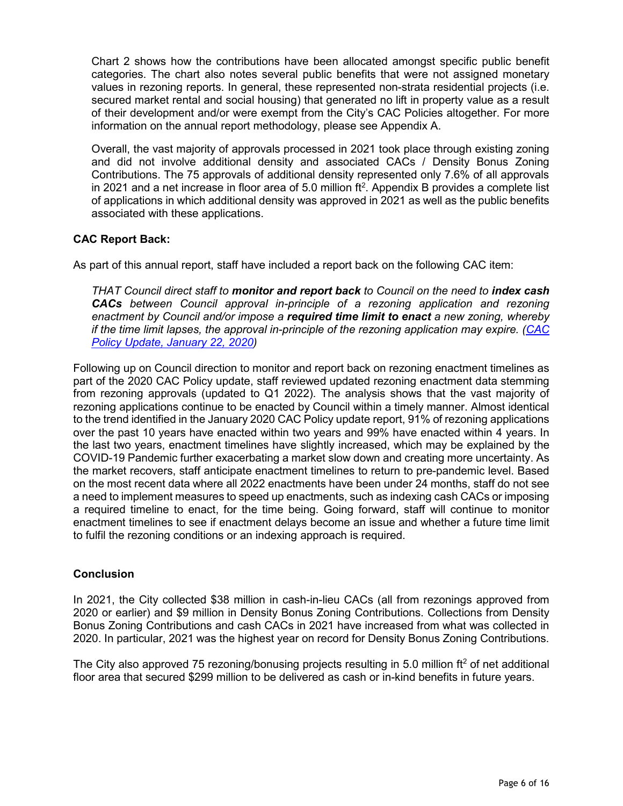Chart 2 shows how the contributions have been allocated amongst specific public benefit categories. The chart also notes several public benefits that were not assigned monetary values in rezoning reports. In general, these represented non-strata residential projects (i.e. secured market rental and social housing) that generated no lift in property value as a result of their development and/or were exempt from the City's CAC Policies altogether. For more information on the annual report methodology, please see Appendix A.

Overall, the vast majority of approvals processed in 2021 took place through existing zoning and did not involve additional density and associated CACs / Density Bonus Zoning Contributions. The 75 approvals of additional density represented only 7.6% of all approvals in 2021 and a net increase in floor area of 5.0 million ft<sup>2</sup>. Appendix B provides a complete list of applications in which additional density was approved in 2021 as well as the public benefits associated with these applications.

#### **CAC Report Back:**

As part of this annual report, staff have included a report back on the following CAC item:

*THAT Council direct staff to monitor and report back to Council on the need to index cash CACs between Council approval in-principle of a rezoning application and rezoning enactment by Council and/or impose a required time limit to enact a new zoning, whereby if the time limit lapses, the approval in-principle of the rezoning application may expire. [\(CAC](https://council.vancouver.ca/20200122/documents/cfsc2.pdf)  [Policy Update, January 22, 2020\)](https://council.vancouver.ca/20200122/documents/cfsc2.pdf)* 

Following up on Council direction to monitor and report back on rezoning enactment timelines as part of the 2020 CAC Policy update, staff reviewed updated rezoning enactment data stemming from rezoning approvals (updated to Q1 2022). The analysis shows that the vast majority of rezoning applications continue to be enacted by Council within a timely manner. Almost identical to the trend identified in the January 2020 CAC Policy update report, 91% of rezoning applications over the past 10 years have enacted within two years and 99% have enacted within 4 years. In the last two years, enactment timelines have slightly increased, which may be explained by the COVID-19 Pandemic further exacerbating a market slow down and creating more uncertainty. As the market recovers, staff anticipate enactment timelines to return to pre-pandemic level. Based on the most recent data where all 2022 enactments have been under 24 months, staff do not see a need to implement measures to speed up enactments, such as indexing cash CACs or imposing a required timeline to enact, for the time being. Going forward, staff will continue to monitor enactment timelines to see if enactment delays become an issue and whether a future time limit to fulfil the rezoning conditions or an indexing approach is required.

#### **Conclusion**

In 2021, the City collected \$38 million in cash-in-lieu CACs (all from rezonings approved from 2020 or earlier) and \$9 million in Density Bonus Zoning Contributions. Collections from Density Bonus Zoning Contributions and cash CACs in 2021 have increased from what was collected in 2020. In particular, 2021 was the highest year on record for Density Bonus Zoning Contributions.

The City also approved 75 rezoning/bonusing projects resulting in 5.0 million  $ft<sup>2</sup>$  of net additional floor area that secured \$299 million to be delivered as cash or in-kind benefits in future years.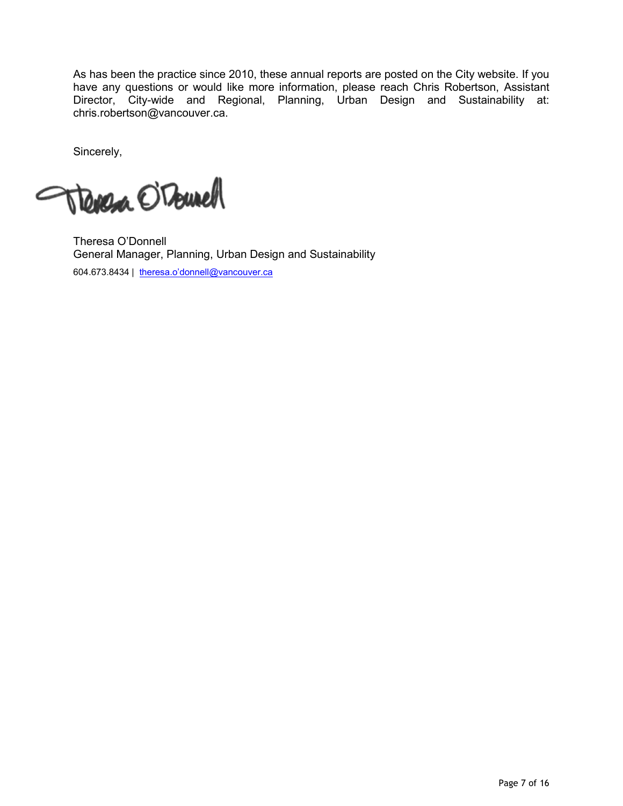As has been the practice since 2010, these annual reports are posted on the City website. If you have any questions or would like more information, please reach Chris Robertson, Assistant Director, City-wide and Regional, Planning, Urban Design and Sustainability at: chris.robertson@vancouver.ca.

Sincerely,

Trenesa O'Tourell

Theresa O'Donnell General Manager, Planning, Urban Design and Sustainability 604.673.8434 | [theresa.o'donnell@vancouver.ca](mailto:Theresa.ODonnell@vancouver.ca)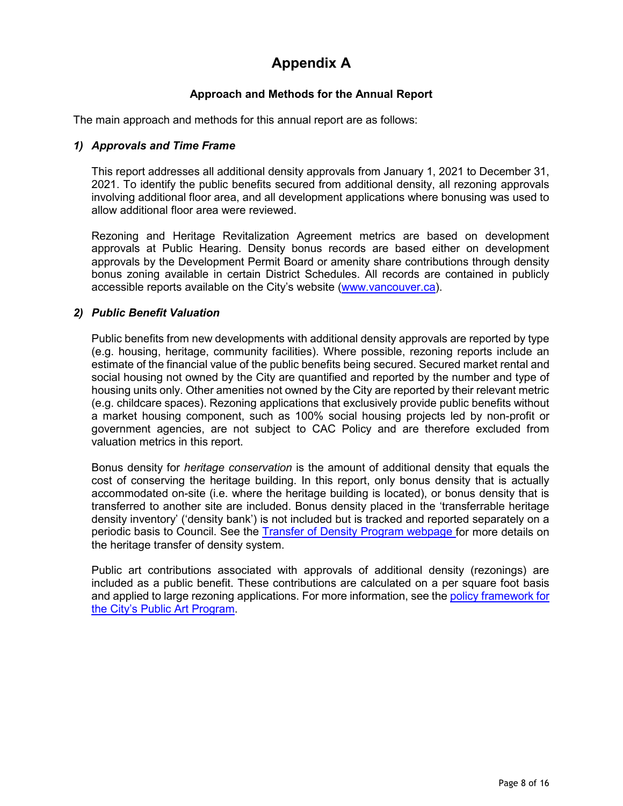# **Appendix A**

# **Approach and Methods for the Annual Report**

The main approach and methods for this annual report are as follows:

### *1) Approvals and Time Frame*

This report addresses all additional density approvals from January 1, 2021 to December 31, 2021. To identify the public benefits secured from additional density, all rezoning approvals involving additional floor area, and all development applications where bonusing was used to allow additional floor area were reviewed.

Rezoning and Heritage Revitalization Agreement metrics are based on development approvals at Public Hearing. Density bonus records are based either on development approvals by the Development Permit Board or amenity share contributions through density bonus zoning available in certain District Schedules. All records are contained in publicly accessible reports available on the City's website [\(www.vancouver.ca\)](http://www.vancouver.ca/).

# *2) Public Benefit Valuation*

Public benefits from new developments with additional density approvals are reported by type (e.g. housing, heritage, community facilities). Where possible, rezoning reports include an estimate of the financial value of the public benefits being secured. Secured market rental and social housing not owned by the City are quantified and reported by the number and type of housing units only. Other amenities not owned by the City are reported by their relevant metric (e.g. childcare spaces). Rezoning applications that exclusively provide public benefits without a market housing component, such as 100% social housing projects led by non-profit or government agencies, are not subject to CAC Policy and are therefore excluded from valuation metrics in this report.

Bonus density for *heritage conservation* is the amount of additional density that equals the cost of conserving the heritage building. In this report, only bonus density that is actually accommodated on-site (i.e. where the heritage building is located), or bonus density that is transferred to another site are included. Bonus density placed in the 'transferrable heritage density inventory' ('density bank') is not included but is tracked and reported separately on a periodic basis to Council. See the [Transfer of Density Program webpage](https://vancouver.ca/home-property-development/density-incentives-for-developers.aspx) for more details on the heritage transfer of density system.

Public art contributions associated with approvals of additional density (rezonings) are included as a public benefit. These contributions are calculated on a per square foot basis and applied to large rezoning applications. For more information, see the [policy framework for](https://guidelines.vancouver.ca/P010.pdf) [the City's Public Art Program.](https://guidelines.vancouver.ca/P010.pdf)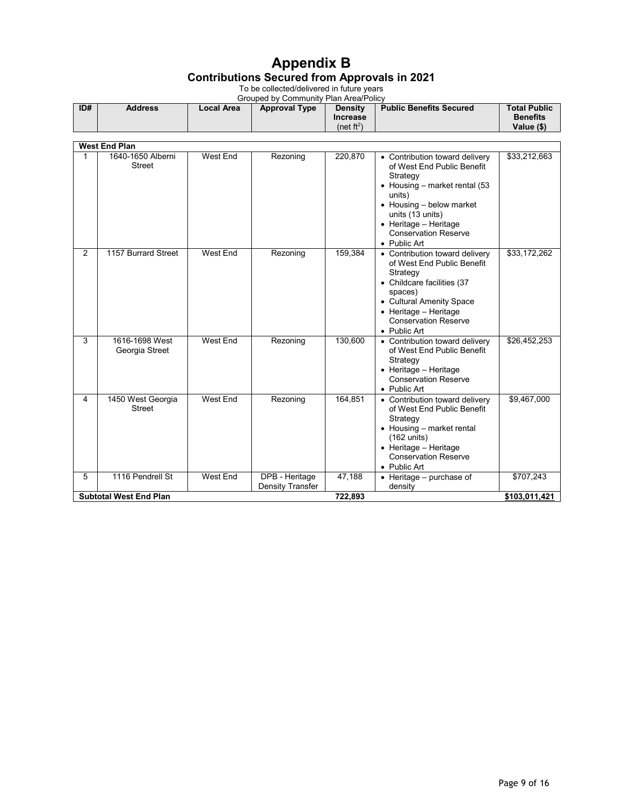# **Appendix B Contributions Secured from Approvals in 2021**

To be collected/delivered in future years

|     | Grouped by Community Plan Area/Policy |            |                      |                                                    |                                |                                                      |  |  |  |
|-----|---------------------------------------|------------|----------------------|----------------------------------------------------|--------------------------------|------------------------------------------------------|--|--|--|
| ID# | <b>Address</b>                        | Local Area | <b>Approval Type</b> | <b>Density</b><br><b>Increase</b><br>(net $ft^2$ ) | <b>Public Benefits Secured</b> | <b>Total Public</b><br><b>Benefits</b><br>Value (\$) |  |  |  |

|   | <b>West End Plan</b>             |          |                                           |         |                                                                                                                                                                                                                                                |               |  |  |  |
|---|----------------------------------|----------|-------------------------------------------|---------|------------------------------------------------------------------------------------------------------------------------------------------------------------------------------------------------------------------------------------------------|---------------|--|--|--|
| 1 | 1640-1650 Alberni<br>Street      | West End | Rezoning                                  | 220,870 | • Contribution toward delivery<br>of West End Public Benefit<br>Strategy<br>• Housing – market rental $(53)$<br>units)<br>• Housing - below market<br>units (13 units)<br>• Heritage - Heritage<br><b>Conservation Reserve</b><br>• Public Art | \$33,212,663  |  |  |  |
| 2 | 1157 Burrard Street              | West End | Rezoning                                  | 159,384 | • Contribution toward delivery<br>of West End Public Benefit<br>Strategy<br>• Childcare facilities (37<br>spaces)<br>• Cultural Amenity Space<br>• Heritage - Heritage<br><b>Conservation Reserve</b><br>• Public Art                          | \$33,172,262  |  |  |  |
| 3 | 1616-1698 West<br>Georgia Street | West End | Rezoning                                  | 130,600 | • Contribution toward delivery<br>of West End Public Benefit<br>Strategy<br>$\bullet$ Heritage - Heritage<br><b>Conservation Reserve</b><br>• Public Art                                                                                       | \$26,452,253  |  |  |  |
| 4 | 1450 West Georgia<br>Street      | West End | Rezoning                                  | 164,851 | • Contribution toward delivery<br>of West End Public Benefit<br>Strategy<br>• Housing – market rental<br>$(162 \text{ units})$<br>• Heritage - Heritage<br><b>Conservation Reserve</b><br>• Public Art                                         | \$9,467,000   |  |  |  |
| 5 | 1116 Pendrell St                 | West End | DPB - Heritage<br><b>Density Transfer</b> | 47,188  | $\bullet$ Heritage – purchase of<br>density                                                                                                                                                                                                    | \$707,243     |  |  |  |
|   | <b>Subtotal West End Plan</b>    |          |                                           | 722,893 |                                                                                                                                                                                                                                                | \$103,011,421 |  |  |  |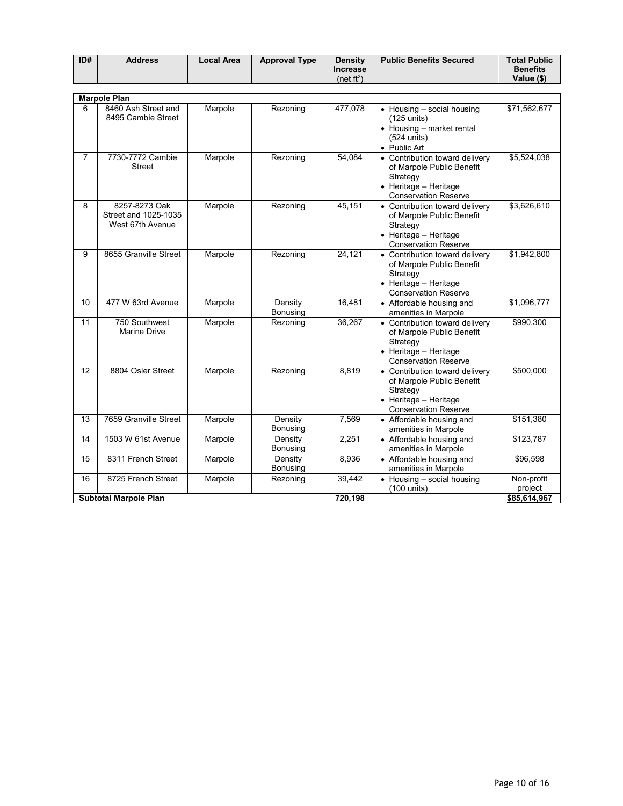| ID# | <b>Address</b> | Local Area | <b>Approval Type</b> | <b>Density</b>  | <b>Public Benefits Secured</b> | <b>Total Public</b> |
|-----|----------------|------------|----------------------|-----------------|--------------------------------|---------------------|
|     |                |            |                      | <b>Increase</b> |                                | <b>Benefits</b>     |
|     |                |            |                      | (net ft $^2$ )  |                                | Value (\$)          |

|                                         | <b>Marpole Plan</b>                                       |         |                     |         |                                                                                                                                 |                       |
|-----------------------------------------|-----------------------------------------------------------|---------|---------------------|---------|---------------------------------------------------------------------------------------------------------------------------------|-----------------------|
| 6                                       | 8460 Ash Street and<br>8495 Cambie Street                 | Marpole | Rezoning            | 477,078 | • Housing - social housing<br>(125 units)<br>• Housing - market rental<br>$(524$ units)<br>• Public Art                         | \$71,562,677          |
| $\overline{7}$                          | 7730-7772 Cambie<br><b>Street</b>                         | Marpole | Rezoning            | 54.084  | • Contribution toward delivery<br>of Marpole Public Benefit<br>Strategy<br>• Heritage - Heritage<br><b>Conservation Reserve</b> | \$5,524,038           |
| 8                                       | 8257-8273 Oak<br>Street and 1025-1035<br>West 67th Avenue | Marpole | Rezoning            | 45,151  | • Contribution toward delivery<br>of Marpole Public Benefit<br>Strategy<br>• Heritage - Heritage<br><b>Conservation Reserve</b> | \$3,626,610           |
| 9                                       | 8655 Granville Street                                     | Marpole | Rezoning            | 24,121  | • Contribution toward delivery<br>of Marpole Public Benefit<br>Strategy<br>• Heritage - Heritage<br><b>Conservation Reserve</b> | \$1,942,800           |
| 10                                      | 477 W 63rd Avenue                                         | Marpole | Density<br>Bonusing | 16,481  | • Affordable housing and<br>amenities in Marpole                                                                                | \$1,096,777           |
| 11                                      | 750 Southwest<br>Marine Drive                             | Marpole | Rezoning            | 36,267  | • Contribution toward delivery<br>of Marpole Public Benefit<br>Strategy<br>• Heritage - Heritage<br><b>Conservation Reserve</b> | \$990,300             |
| $\overline{12}$                         | 8804 Osler Street                                         | Marpole | Rezoning            | 8.819   | • Contribution toward delivery<br>of Marpole Public Benefit<br>Strategy<br>• Heritage - Heritage<br><b>Conservation Reserve</b> | \$500,000             |
| 13                                      | 7659 Granville Street                                     | Marpole | Density<br>Bonusing | 7,569   | • Affordable housing and<br>amenities in Marpole                                                                                | \$151,380             |
| 14                                      | 1503 W 61st Avenue                                        | Marpole | Density<br>Bonusing | 2,251   | • Affordable housing and<br>amenities in Marpole                                                                                | \$123,787             |
| 15                                      | 8311 French Street                                        | Marpole | Density<br>Bonusing | 8,936   | • Affordable housing and<br>amenities in Marpole                                                                                | \$96,598              |
| 16                                      | 8725 French Street                                        | Marpole | Rezoning            | 39,442  | • Housing - social housing<br>(100 units)                                                                                       | Non-profit<br>project |
| 720,198<br><b>Subtotal Marpole Plan</b> |                                                           |         |                     |         |                                                                                                                                 | \$85,614,967          |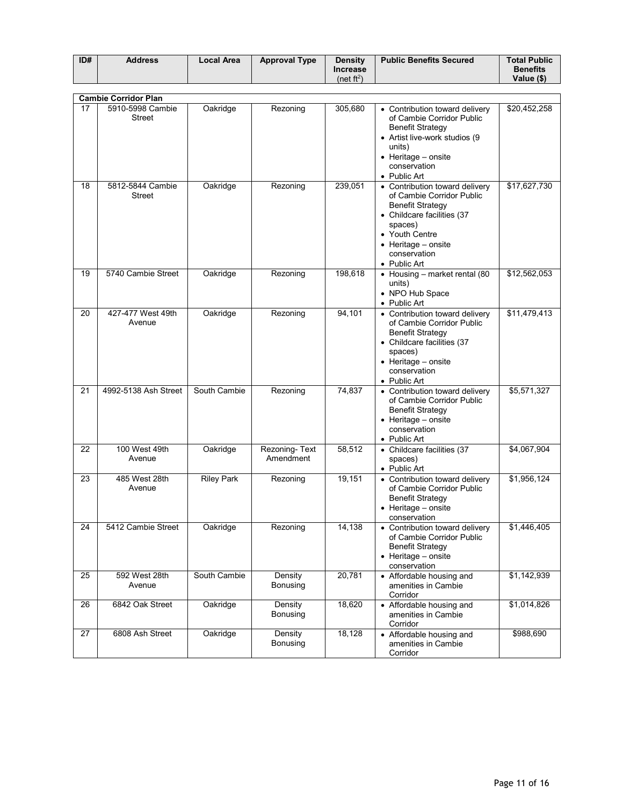| ID# | <b>Address</b> | Local Area | <b>Approval Type</b> | <b>Density</b>         | <b>Public Benefits Secured</b> | <b>Total Public</b> |
|-----|----------------|------------|----------------------|------------------------|--------------------------------|---------------------|
|     |                |            |                      | <b>Increase</b>        |                                | <b>Benefits</b>     |
|     |                |            |                      | (net ft <sup>2</sup> ) |                                | Value (\$)          |

|                 | <b>Cambie Corridor Plan</b>       |                   |                            |         |                                                                                                                                                                                                                  |              |  |  |  |  |
|-----------------|-----------------------------------|-------------------|----------------------------|---------|------------------------------------------------------------------------------------------------------------------------------------------------------------------------------------------------------------------|--------------|--|--|--|--|
| 17              | 5910-5998 Cambie<br>Street        | Oakridge          | Rezoning                   | 305,680 | • Contribution toward delivery<br>of Cambie Corridor Public<br><b>Benefit Strategy</b><br>• Artist live-work studios (9<br>units)<br>• Heritage - onsite<br>conservation<br>• Public Art                         | \$20,452,258 |  |  |  |  |
| 18              | 5812-5844 Cambie<br><b>Street</b> | Oakridge          | Rezoning                   | 239,051 | • Contribution toward delivery<br>of Cambie Corridor Public<br><b>Benefit Strategy</b><br>• Childcare facilities (37<br>spaces)<br>• Youth Centre<br>$\bullet$ Heritage – onsite<br>conservation<br>• Public Art | \$17,627,730 |  |  |  |  |
| 19              | 5740 Cambie Street                | Oakridge          | Rezoning                   | 198,618 | • Housing - market rental (80<br>units)<br>• NPO Hub Space<br>• Public Art                                                                                                                                       | \$12,562,053 |  |  |  |  |
| $\overline{20}$ | 427-477 West 49th<br>Avenue       | Oakridge          | Rezoning                   | 94,101  | • Contribution toward delivery<br>of Cambie Corridor Public<br><b>Benefit Strategy</b><br>• Childcare facilities (37<br>spaces)<br>• Heritage - onsite<br>conservation<br>• Public Art                           | \$11,479,413 |  |  |  |  |
| 21              | 4992-5138 Ash Street              | South Cambie      | Rezoning                   | 74,837  | • Contribution toward delivery<br>of Cambie Corridor Public<br><b>Benefit Strategy</b><br>• Heritage - onsite<br>conservation<br>• Public Art                                                                    | \$5,571,327  |  |  |  |  |
| 22              | 100 West 49th<br>Avenue           | Oakridge          | Rezoning-Text<br>Amendment | 58,512  | • Childcare facilities (37<br>spaces)<br>• Public Art                                                                                                                                                            | \$4,067,904  |  |  |  |  |
| 23              | 485 West 28th<br>Avenue           | <b>Riley Park</b> | Rezoning                   | 19,151  | • Contribution toward delivery<br>of Cambie Corridor Public<br><b>Benefit Strategy</b><br>• Heritage - onsite<br>conservation                                                                                    | \$1,956,124  |  |  |  |  |
| 24              | 5412 Cambie Street                | Oakridge          | Rezoning                   | 14,138  | • Contribution toward delivery<br>of Cambie Corridor Public<br><b>Benefit Strategy</b><br>• Heritage - onsite<br>conservation                                                                                    | \$1,446,405  |  |  |  |  |
| 25              | 592 West 28th<br>Avenue           | South Cambie      | Density<br>Bonusing        | 20,781  | • Affordable housing and<br>amenities in Cambie<br>Corridor                                                                                                                                                      | \$1,142,939  |  |  |  |  |
| 26              | 6842 Oak Street                   | Oakridge          | Density<br>Bonusing        | 18,620  | • Affordable housing and<br>amenities in Cambie<br>Corridor                                                                                                                                                      | \$1,014,826  |  |  |  |  |
| 27              | 6808 Ash Street                   | Oakridge          | Density<br>Bonusing        | 18,128  | • Affordable housing and<br>amenities in Cambie<br>Corridor                                                                                                                                                      | \$988,690    |  |  |  |  |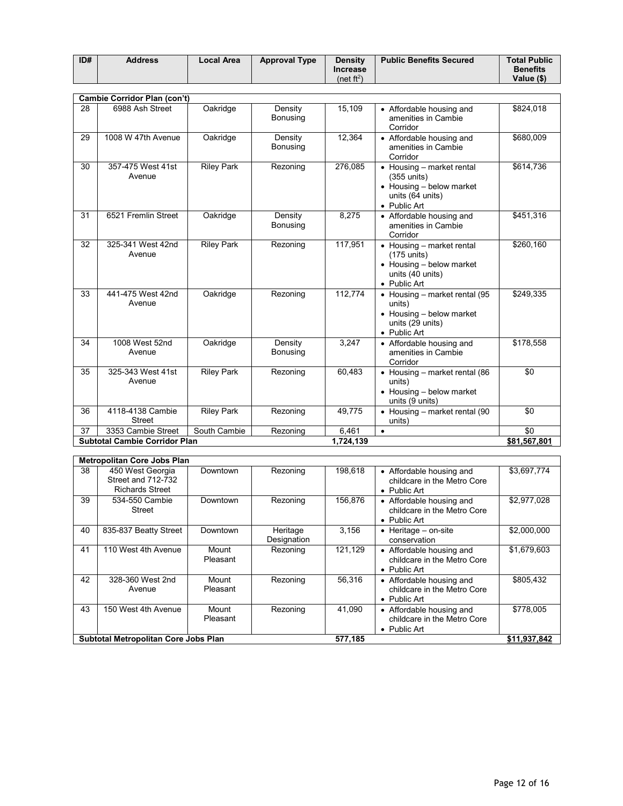| ID# | <b>Address</b> | <b>Local Area</b> | <b>Approval Type</b> | <b>Density</b>         | <b>Public Benefits Secured</b> | <b>Total Public</b> |
|-----|----------------|-------------------|----------------------|------------------------|--------------------------------|---------------------|
|     |                |                   |                      | <b>Increase</b>        |                                | <b>Benefits</b>     |
|     |                |                   |                      | (net ft <sup>2</sup> ) |                                | Value (\$)          |

|    | Cambie Corridor Plan (con't)         |                   |                            |           |                                                                                                                         |              |
|----|--------------------------------------|-------------------|----------------------------|-----------|-------------------------------------------------------------------------------------------------------------------------|--------------|
| 28 | 6988 Ash Street                      | Oakridge          | Density<br><b>Bonusing</b> | 15,109    | • Affordable housing and<br>amenities in Cambie<br>Corridor                                                             | \$824,018    |
| 29 | 1008 W 47th Avenue                   | Oakridge          | Density<br>Bonusing        | 12,364    | • Affordable housing and<br>amenities in Cambie<br>Corridor                                                             | \$680,009    |
| 30 | 357-475 West 41st<br>Avenue          | <b>Riley Park</b> | Rezoning                   | 276,085   | • Housing - market rental<br>$(355$ units)<br>$\bullet$ Housing – below market<br>units (64 units)<br>• Public Art      | \$614,736    |
| 31 | 6521 Fremlin Street                  | Oakridge          | Density<br><b>Bonusing</b> | 8,275     | • Affordable housing and<br>amenities in Cambie<br>Corridor                                                             | \$451,316    |
| 32 | 325-341 West 42nd<br>Avenue          | <b>Riley Park</b> | Rezoning                   | 117,951   | $\bullet$ Housing – market rental<br>$(175$ units)<br>• Housing - below market<br>units (40 units)<br>• Public Art      | \$260,160    |
| 33 | 441-475 West 42nd<br>Avenue          | Oakridge          | Rezoning                   | 112,774   | $\bullet$ Housing – market rental (95<br>units)<br>$\bullet$ Housing – below market<br>units (29 units)<br>• Public Art | \$249,335    |
| 34 | 1008 West 52nd<br>Avenue             | Oakridge          | Density<br>Bonusing        | 3,247     | • Affordable housing and<br>amenities in Cambie<br>Corridor                                                             | \$178,558    |
| 35 | 325-343 West 41st<br>Avenue          | <b>Riley Park</b> | Rezoning                   | 60,483    | • Housing - market rental (86<br>units)<br>• Housing - below market<br>units (9 units)                                  | \$0          |
| 36 | 4118-4138 Cambie<br><b>Street</b>    | <b>Riley Park</b> | Rezoning                   | 49,775    | $\bullet$ Housing – market rental (90<br>units)                                                                         | \$0          |
| 37 | 3353 Cambie Street                   | South Cambie      | Rezoning                   | 6,461     | $\bullet$                                                                                                               | \$0          |
|    | <b>Subtotal Cambie Corridor Plan</b> |                   |                            | 1,724,139 |                                                                                                                         | \$81,567,801 |

|    | <b>Metropolitan Core Jobs Plan</b>                               |                   |                         |         |                                                                                 |              |  |  |  |
|----|------------------------------------------------------------------|-------------------|-------------------------|---------|---------------------------------------------------------------------------------|--------------|--|--|--|
| 38 | 450 West Georgia<br>Street and 712-732<br><b>Richards Street</b> | Downtown          | Rezoning                | 198,618 | • Affordable housing and<br>childcare in the Metro Core<br>• Public Art         | \$3,697,774  |  |  |  |
| 39 | 534-550 Cambie<br><b>Street</b>                                  | Downtown          | Rezoning                | 156,876 | • Affordable housing and<br>childcare in the Metro Core<br>$\bullet$ Public Art | \$2,977,028  |  |  |  |
| 40 | 835-837 Beatty Street                                            | Downtown          | Heritage<br>Designation | 3.156   | Heritage - on-site<br>٠<br>conservation                                         | \$2,000,000  |  |  |  |
| 41 | 110 West 4th Avenue                                              | Mount<br>Pleasant | Rezoning                | 121,129 | • Affordable housing and<br>childcare in the Metro Core<br>$\bullet$ Public Art | \$1,679,603  |  |  |  |
| 42 | 328-360 West 2nd<br>Avenue                                       | Mount<br>Pleasant | Rezoning                | 56,316  | • Affordable housing and<br>childcare in the Metro Core<br>$\bullet$ Public Art | \$805,432    |  |  |  |
| 43 | 150 West 4th Avenue                                              | Mount<br>Pleasant | Rezoning                | 41.090  | • Affordable housing and<br>childcare in the Metro Core<br>• Public Art         | \$778,005    |  |  |  |
|    | Subtotal Metropolitan Core Jobs Plan                             |                   |                         | 577.185 |                                                                                 | \$11,937,842 |  |  |  |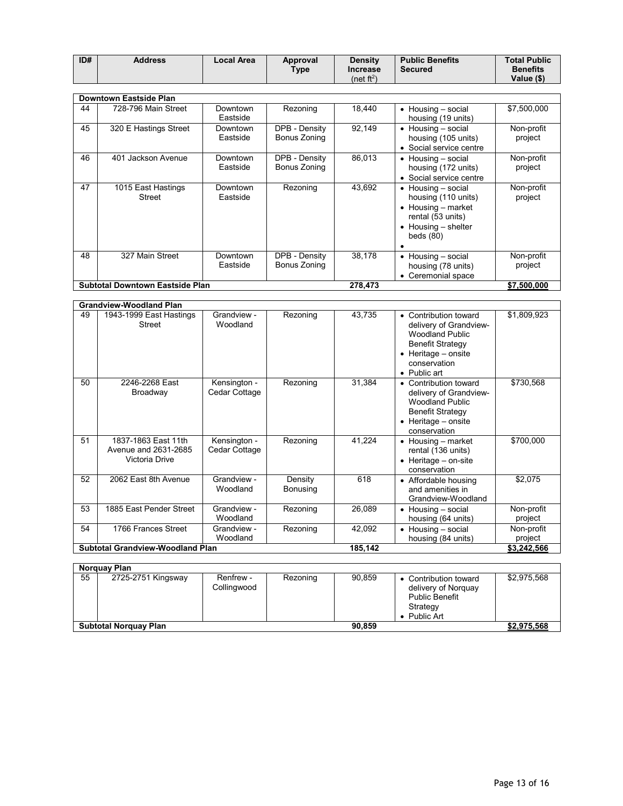| ID# | <b>Address</b> | Local Area | Approval | <b>Density</b>  | <b>Public Benefits</b> | <b>Total Public</b> |
|-----|----------------|------------|----------|-----------------|------------------------|---------------------|
|     |                |            | $T$ ype  | <b>Increase</b> | Secured                | <b>Benefits</b>     |
|     |                |            |          | (net $ft^2$ )   |                        | Value (\$)          |

|    | <b>Downtown Eastside Plan</b>          |                      |                               |         |                                                                                                                                                           |                       |  |  |
|----|----------------------------------------|----------------------|-------------------------------|---------|-----------------------------------------------------------------------------------------------------------------------------------------------------------|-----------------------|--|--|
| 44 | 728-796 Main Street                    | Downtown<br>Eastside | Rezoning                      | 18,440  | $\bullet$ Housing – social<br>housing (19 units)                                                                                                          | \$7,500,000           |  |  |
| 45 | 320 E Hastings Street                  | Downtown<br>Eastside | DPB - Density<br>Bonus Zoning | 92,149  | • Housing - social<br>housing (105 units)<br>• Social service centre                                                                                      | Non-profit<br>project |  |  |
| 46 | Jackson Avenue<br>401                  | Downtown<br>Eastside | DPB - Density<br>Bonus Zoning | 86,013  | $\bullet$ Housing $-$ social<br>housing (172 units)<br>• Social service centre                                                                            | Non-profit<br>project |  |  |
| 47 | 1015 East Hastings<br>Street           | Downtown<br>Eastside | Rezoning                      | 43.692  | $\bullet$ Housing – social<br>housing (110 units)<br>$\bullet$ Housing – market<br>rental (53 units)<br>$\bullet$ Housing $-$ shelter<br>beds $(80)$<br>٠ | Non-profit<br>project |  |  |
| 48 | 327 Main Street                        | Downtown<br>Eastside | DPB - Density<br>Bonus Zoning | 38,178  | • Housing - social<br>housing (78 units)<br>• Ceremonial space                                                                                            | Non-profit<br>project |  |  |
|    | <b>Subtotal Downtown Eastside Plan</b> |                      |                               | 278.473 |                                                                                                                                                           | \$7,500,000           |  |  |

|                     |                               | <b>Grandview-Woodland Plan</b>                                |                     |         |                                                                                                                                                                           |                       |
|---------------------|-------------------------------|---------------------------------------------------------------|---------------------|---------|---------------------------------------------------------------------------------------------------------------------------------------------------------------------------|-----------------------|
| 49<br><b>Street</b> | Grandview -<br>Woodland       | 1943-1999 East Hastings                                       | Rezoning            | 43,735  | Contribution toward<br>٠<br>delivery of Grandview-<br><b>Woodland Public</b><br><b>Benefit Strategy</b><br>Heritage - onsite<br>$\bullet$<br>conservation<br>• Public art | \$1,809,923           |
| 50                  | Kensington -<br>Cedar Cottage | 2246-2268 East<br>Broadway                                    | Rezoning            | 31,384  | • Contribution toward<br>delivery of Grandview-<br><b>Woodland Public</b><br><b>Benefit Strategy</b><br>$\bullet$ Heritage – onsite<br>conservation                       | \$730,568             |
| 51                  | Kensington -<br>Cedar Cottage | 1837-1863 East 11th<br>Avenue and 2631-2685<br>Victoria Drive | Rezoning            | 41,224  | $\bullet$ Housing – market<br>rental (136 units)<br>Heritage - on-site<br>٠<br>conservation                                                                               | \$700,000             |
| 52                  | Grandview -<br>Woodland       | 2062 East 8th Avenue                                          | Density<br>Bonusing | 618     | • Affordable housing<br>and amenities in<br>Grandview-Woodland                                                                                                            | \$2,075               |
| 53                  | Grandview -<br>Woodland       | 1885 East Pender Street                                       | Rezoning            | 26,089  | $\bullet$ Housing – social<br>housing (64 units)                                                                                                                          | Non-profit<br>project |
| 54                  | Grandview -<br>Woodland       | 1766 Frances Street                                           | Rezoning            | 42,092  | Housing - social<br>٠<br>housing (84 units)                                                                                                                               | Non-profit<br>project |
|                     |                               | <b>Subtotal Grandview-Woodland Plan</b>                       |                     | 185,142 |                                                                                                                                                                           | \$3,242,566           |

|    | Norguay Plan                 |                          |          |        |                                                                                                   |             |
|----|------------------------------|--------------------------|----------|--------|---------------------------------------------------------------------------------------------------|-------------|
| 55 | 2725-2751 Kingsway           | Renfrew -<br>Collingwood | Rezoning | 90.859 | • Contribution toward<br>delivery of Norguay<br><b>Public Benefit</b><br>Strategy<br>• Public Art | \$2,975,568 |
|    | <b>Subtotal Norguay Plan</b> |                          |          | 90.859 |                                                                                                   | \$2,975,568 |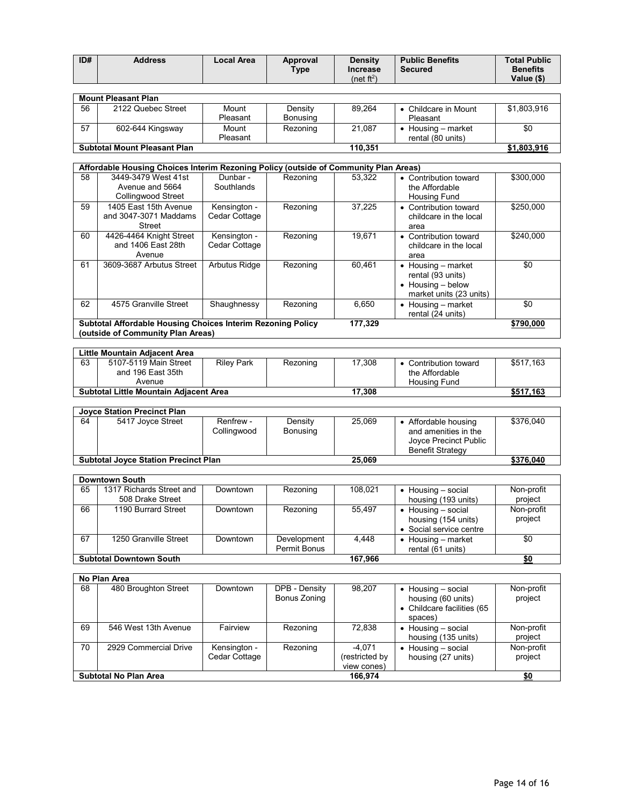| ID# | <b>Address</b> | Local Area | Approval | <b>Density</b>  | <b>Public Benefits</b> | <b>Total Public</b> |
|-----|----------------|------------|----------|-----------------|------------------------|---------------------|
|     |                |            | $T$ ype  | <b>Increase</b> | <b>Secured</b>         | <b>Benefits</b>     |
|     |                |            |          | (net ft $^2$ )  |                        | Value (\$)          |

|    | <b>Mount Pleasant Plan</b>          |          |          |         |                            |             |
|----|-------------------------------------|----------|----------|---------|----------------------------|-------------|
| 56 | 2122 Quebec Street                  | Mount    | Density  | 89.264  | • Childcare in Mount       | \$1,803,916 |
|    |                                     | Pleasant | Bonusing |         | Pleasant                   |             |
| 57 | 602-644 Kingsway                    | Mount    | Rezoning | 21.087  | $\bullet$ Housing – market | \$0         |
|    |                                     | Pleasant |          |         | rental (80 units)          |             |
|    | <b>Subtotal Mount Pleasant Plan</b> |          |          | 110.351 |                            | \$1.803.916 |

|    | Affordable Housing Choices Interim Rezoning Policy (outside of Community Plan Areas)             |                               |          |         |                                                                                                         |           |  |  |  |
|----|--------------------------------------------------------------------------------------------------|-------------------------------|----------|---------|---------------------------------------------------------------------------------------------------------|-----------|--|--|--|
| 58 | 3449-3479 West 41st<br>Avenue and 5664<br><b>Collingwood Street</b>                              | Dunbar -<br>Southlands        | Rezoning | 53.322  | • Contribution toward<br>the Affordable<br>Housing Fund                                                 | \$300,000 |  |  |  |
| 59 | 1405 East 15th Avenue<br>and 3047-3071 Maddams<br>Street                                         | Kensington -<br>Cedar Cottage | Rezoning | 37,225  | • Contribution toward<br>childcare in the local<br>area                                                 | \$250,000 |  |  |  |
| 60 | 4426-4464 Knight Street<br>and 1406 East 28th<br>Avenue                                          | Kensington -<br>Cedar Cottage | Rezoning | 19.671  | • Contribution toward<br>childcare in the local<br>area                                                 | \$240,000 |  |  |  |
| 61 | 3609-3687 Arbutus Street                                                                         | Arbutus Ridge                 | Rezoning | 60.461  | $\bullet$ Housing – market<br>rental (93 units)<br>$\bullet$ Housing – below<br>market units (23 units) | \$0       |  |  |  |
| 62 | 4575 Granville Street                                                                            | Shaughnessy                   | Rezoning | 6,650   | $\bullet$ Housing – market<br>rental (24 units)                                                         | \$0       |  |  |  |
|    | Subtotal Affordable Housing Choices Interim Rezoning Policy<br>(outside of Community Plan Areas) |                               |          | 177,329 |                                                                                                         | \$790,000 |  |  |  |

|    | Little Mountain Adjacent Area                                        |                   |          |        |                       |           |
|----|----------------------------------------------------------------------|-------------------|----------|--------|-----------------------|-----------|
| 63 | 5107-5119 Main Street                                                | <b>Rilev Park</b> | Rezoning | 17.308 | • Contribution toward | \$517.163 |
|    | and 196 East 35th                                                    |                   |          |        | the Affordable        |           |
|    | Avenue                                                               |                   |          |        | Housing Fund          |           |
|    | 17.308<br>\$517.163<br><b>Subtotal Little Mountain Adiacent Area</b> |                   |          |        |                       |           |

|                                             | Jovce Station Precinct Plan |                          |                     |        |                                                                                                  |           |
|---------------------------------------------|-----------------------------|--------------------------|---------------------|--------|--------------------------------------------------------------------------------------------------|-----------|
| 64                                          | 5417 Joyce Street           | Renfrew -<br>Collinawood | Density<br>Bonusing | 25.069 | • Affordable housing<br>and amenities in the<br>Joyce Precinct Public<br><b>Benefit Strategy</b> | \$376,040 |
| <b>Subtotal Joyce Station Precinct Plan</b> |                             |                          | 25.069              |        | \$376,040                                                                                        |           |

|                                           | <b>Downtown South</b>                        |          |                             |         |                                                                              |                       |
|-------------------------------------------|----------------------------------------------|----------|-----------------------------|---------|------------------------------------------------------------------------------|-----------------------|
| 65                                        | 1317 Richards Street and<br>508 Drake Street | Downtown | Rezoning                    | 108.021 | $\bullet$ Housing $-$ social<br>housing (193 units)                          | Non-profit<br>project |
| 66                                        | 1190 Burrard Street                          | Downtown | Rezoning                    | 55.497  | $\bullet$ Housing – social<br>housing (154 units)<br>• Social service centre | Non-profit<br>project |
| 67                                        | 1250 Granville Street                        | Downtown | Development<br>Permit Bonus | 4.448   | $\bullet$ Housing – market<br>rental (61 units)                              | \$0                   |
| <b>Subtotal Downtown South</b><br>167.966 |                                              |          |                             |         |                                                                              | \$0                   |

|    | No Plan Area                 |                               |                               |                                          |                                                                                             |                       |
|----|------------------------------|-------------------------------|-------------------------------|------------------------------------------|---------------------------------------------------------------------------------------------|-----------------------|
| 68 | 480 Broughton Street         | Downtown                      | DPB - Density<br>Bonus Zoning | 98.207                                   | $\bullet$ Housing $-$ social<br>housing (60 units)<br>• Childcare facilities (65<br>spaces) | Non-profit<br>project |
| 69 | 546 West 13th Avenue         | Fairview                      | Rezoning                      | 72.838                                   | $\bullet$ Housing – social<br>housing (135 units)                                           | Non-profit<br>project |
| 70 | 2929 Commercial Drive        | Kensington -<br>Cedar Cottage | Rezoning                      | $-4.071$<br>restricted by<br>view cones) | $\bullet$ Housing – social<br>housing (27 units)                                            | Non-profit<br>project |
|    | <b>Subtotal No Plan Area</b> |                               |                               | 166,974                                  |                                                                                             | \$0                   |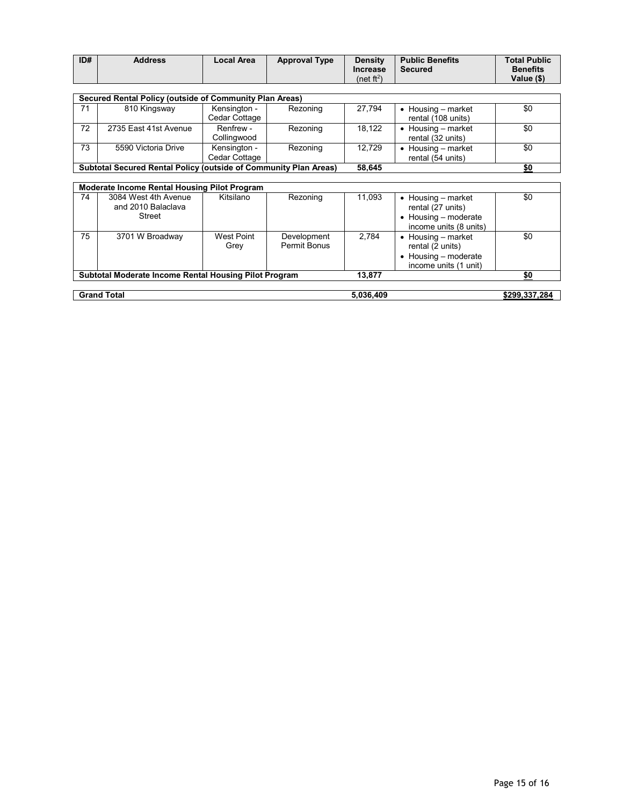| ID# | <b>Address</b> | Local Area | <b>Approval Type</b> | <b>Density</b>         | <b>Public Benefits</b> | <b>Total Public</b> |
|-----|----------------|------------|----------------------|------------------------|------------------------|---------------------|
|     |                |            |                      | <b>Increase</b>        | <b>Secured</b>         | <b>Benefits</b>     |
|     |                |            |                      | (net ft <sup>2</sup> ) |                        | Value (\$)          |

|    | Secured Rental Policy (outside of Community Plan Areas)                                  |                               |          |        |                                        |     |  |  |  |
|----|------------------------------------------------------------------------------------------|-------------------------------|----------|--------|----------------------------------------|-----|--|--|--|
| 71 | 810 Kingsway                                                                             | Kensington -<br>Cedar Cottage | Rezoning | 27.794 | Housing – market<br>rental (108 units) | \$0 |  |  |  |
| 72 | 2735 East 41st Avenue                                                                    | Renfrew -<br>Collingwood      | Rezoning | 18.122 | Housing – market<br>rental (32 units)  | \$0 |  |  |  |
| 73 | 5590 Victoria Drive                                                                      | Kensington -<br>Cedar Cottage | Rezoning | 12.729 | Housing – market<br>rental (54 units)  | \$0 |  |  |  |
|    | <b>Subtotal Secured Rental Policy (outside of Community Plan Areas)</b><br>\$0<br>58.645 |                               |          |        |                                        |     |  |  |  |

|    | <b>Moderate Income Rental Housing Pilot Program</b>   |                    |                             |           |                                                                                                           |               |
|----|-------------------------------------------------------|--------------------|-----------------------------|-----------|-----------------------------------------------------------------------------------------------------------|---------------|
| 74 | 3084 West 4th Avenue<br>and 2010 Balaclava<br>Street  | Kitsilano          | Rezoning                    | 11,093    | $\bullet$ Housing – market<br>rental (27 units)<br>$\bullet$ Housing – moderate<br>income units (8 units) | \$0           |
| 75 | 3701 W Broadway                                       | West Point<br>Grey | Development<br>Permit Bonus | 2.784     | $\bullet$ Housing – market<br>rental (2 units)<br>$\bullet$ Housing – moderate<br>income units (1 unit)   | \$0           |
|    | Subtotal Moderate Income Rental Housing Pilot Program |                    |                             | 13.877    |                                                                                                           | \$0           |
|    | <b>Grand Total</b>                                    |                    |                             | 5,036,409 |                                                                                                           | \$299,337,284 |